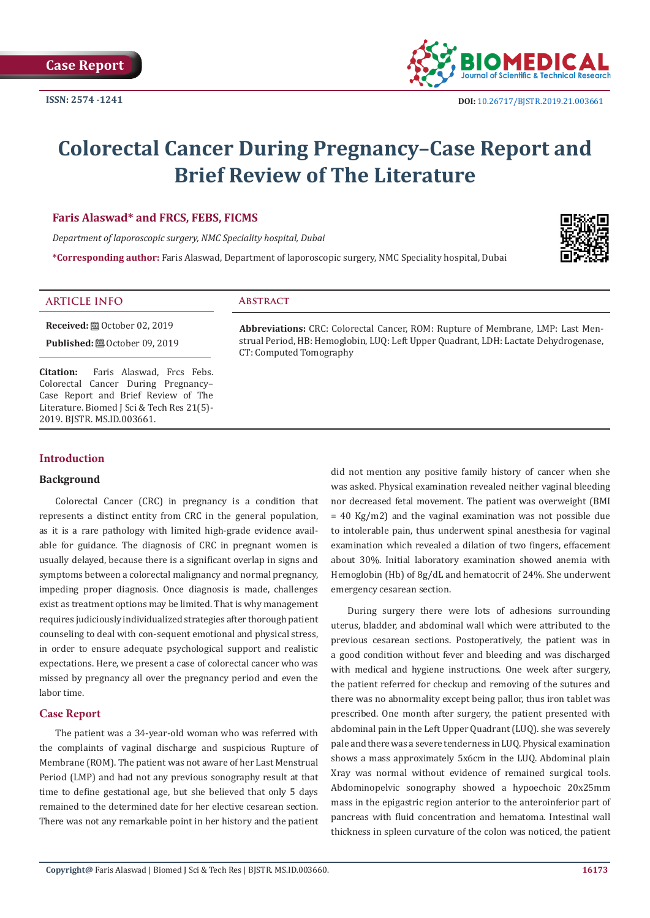

# **Colorectal Cancer During Pregnancy–Case Report and Brief Review of The Literature**

# **Faris Alaswad\* and FRCS, FEBS, FICMS**

*Department of laporoscopic surgery, NMC Speciality hospital, Dubai*

**\*Corresponding author:** Faris Alaswad, Department of laporoscopic surgery, NMC Speciality hospital, Dubai



# **ARTICLE INFO Abstract**

**Received:** ■ October 02, 2019 **Published:**  $@$  October 09, 2019

**Citation:** Faris Alaswad, Frcs Febs. Colorectal Cancer During Pregnancy– Case Report and Brief Review of The Literature. Biomed J Sci & Tech Res 21(5)-2019. BJSTR. MS.ID.003661.

**Abbreviations:** CRC: Colorectal Cancer, ROM: Rupture of Membrane, LMP: Last Menstrual Period, HB: Hemoglobin, LUQ: Left Upper Quadrant, LDH: Lactate Dehydrogenase, CT: Computed Tomography

# **Introduction**

### **Background**

Colorectal Cancer (CRC) in pregnancy is a condition that represents a distinct entity from CRC in the general population, as it is a rare pathology with limited high-grade evidence available for guidance. The diagnosis of CRC in pregnant women is usually delayed, because there is a significant overlap in signs and symptoms between a colorectal malignancy and normal pregnancy, impeding proper diagnosis. Once diagnosis is made, challenges exist as treatment options may be limited. That is why management requires judiciously individualized strategies after thorough patient counseling to deal with con-sequent emotional and physical stress, in order to ensure adequate psychological support and realistic expectations. Here, we present a case of colorectal cancer who was missed by pregnancy all over the pregnancy period and even the labor time.

## **Case Report**

The patient was a 34-year-old woman who was referred with the complaints of vaginal discharge and suspicious Rupture of Membrane (ROM). The patient was not aware of her Last Menstrual Period (LMP) and had not any previous sonography result at that time to define gestational age, but she believed that only 5 days remained to the determined date for her elective cesarean section. There was not any remarkable point in her history and the patient

did not mention any positive family history of cancer when she was asked. Physical examination revealed neither vaginal bleeding nor decreased fetal movement. The patient was overweight (BMI  $= 40$  Kg/m2) and the vaginal examination was not possible due to intolerable pain, thus underwent spinal anesthesia for vaginal examination which revealed a dilation of two fingers, effacement about 30%. Initial laboratory examination showed anemia with Hemoglobin (Hb) of 8g/dL and hematocrit of 24%. She underwent emergency cesarean section.

During surgery there were lots of adhesions surrounding uterus, bladder, and abdominal wall which were attributed to the previous cesarean sections. Postoperatively, the patient was in a good condition without fever and bleeding and was discharged with medical and hygiene instructions. One week after surgery, the patient referred for checkup and removing of the sutures and there was no abnormality except being pallor, thus iron tablet was prescribed. One month after surgery, the patient presented with abdominal pain in the Left Upper Quadrant (LUQ). she was severely pale and there was a severe tenderness in LUQ. Physical examination shows a mass approximately 5x6cm in the LUQ. Abdominal plain Xray was normal without evidence of remained surgical tools. Abdominopelvic sonography showed a hypoechoic 20x25mm mass in the epigastric region anterior to the anteroinferior part of pancreas with fluid concentration and hematoma. Intestinal wall thickness in spleen curvature of the colon was noticed, the patient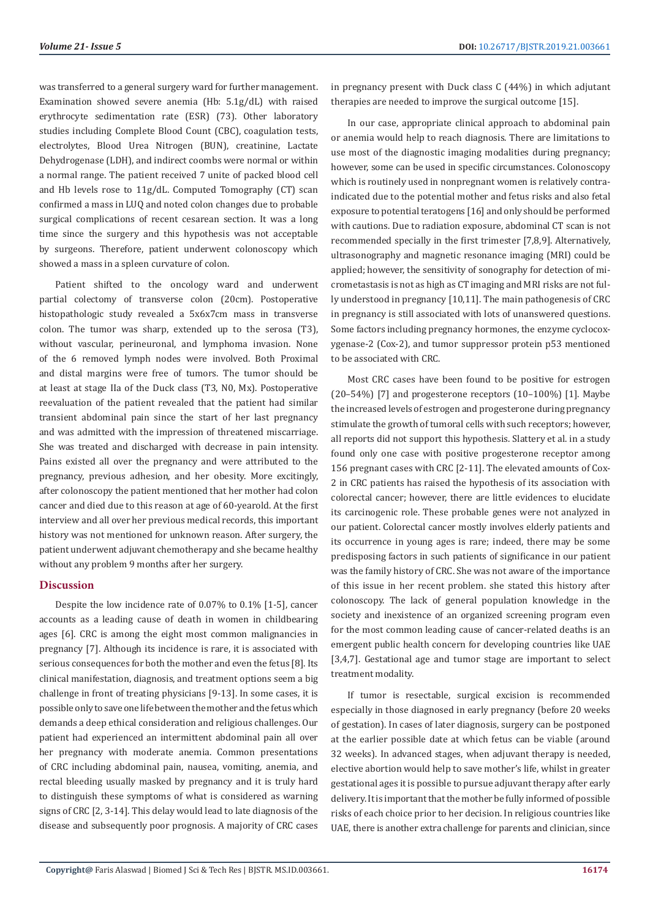was transferred to a general surgery ward for further management. Examination showed severe anemia (Hb: 5.1g/dL) with raised erythrocyte sedimentation rate (ESR) (73). Other laboratory studies including Complete Blood Count (CBC), coagulation tests, electrolytes, Blood Urea Nitrogen (BUN), creatinine, Lactate Dehydrogenase (LDH), and indirect coombs were normal or within a normal range. The patient received 7 unite of packed blood cell and Hb levels rose to 11g/dL. Computed Tomography (CT) scan confirmed a mass in LUQ and noted colon changes due to probable surgical complications of recent cesarean section. It was a long time since the surgery and this hypothesis was not acceptable by surgeons. Therefore, patient underwent colonoscopy which showed a mass in a spleen curvature of colon.

Patient shifted to the oncology ward and underwent partial colectomy of transverse colon (20cm). Postoperative histopathologic study revealed a 5x6x7cm mass in transverse colon. The tumor was sharp, extended up to the serosa (T3), without vascular, perineuronal, and lymphoma invasion. None of the 6 removed lymph nodes were involved. Both Proximal and distal margins were free of tumors. The tumor should be at least at stage IIa of the Duck class (T3, N0, Mx). Postoperative reevaluation of the patient revealed that the patient had similar transient abdominal pain since the start of her last pregnancy and was admitted with the impression of threatened miscarriage. She was treated and discharged with decrease in pain intensity. Pains existed all over the pregnancy and were attributed to the pregnancy, previous adhesion, and her obesity. More excitingly, after colonoscopy the patient mentioned that her mother had colon cancer and died due to this reason at age of 60-yearold. At the first interview and all over her previous medical records, this important history was not mentioned for unknown reason. After surgery, the patient underwent adjuvant chemotherapy and she became healthy without any problem 9 months after her surgery.

### **Discussion**

Despite the low incidence rate of 0.07% to 0.1% [1-5], cancer accounts as a leading cause of death in women in childbearing ages [6]. CRC is among the eight most common malignancies in pregnancy [7]. Although its incidence is rare, it is associated with serious consequences for both the mother and even the fetus [8]. Its clinical manifestation, diagnosis, and treatment options seem a big challenge in front of treating physicians [9-13]. In some cases, it is possible only to save one life between the mother and the fetus which demands a deep ethical consideration and religious challenges. Our patient had experienced an intermittent abdominal pain all over her pregnancy with moderate anemia. Common presentations of CRC including abdominal pain, nausea, vomiting, anemia, and rectal bleeding usually masked by pregnancy and it is truly hard to distinguish these symptoms of what is considered as warning signs of CRC [2, 3-14]. This delay would lead to late diagnosis of the disease and subsequently poor prognosis. A majority of CRC cases in pregnancy present with Duck class C (44%) in which adjutant therapies are needed to improve the surgical outcome [15].

In our case, appropriate clinical approach to abdominal pain or anemia would help to reach diagnosis. There are limitations to use most of the diagnostic imaging modalities during pregnancy; however, some can be used in specific circumstances. Colonoscopy which is routinely used in nonpregnant women is relatively contraindicated due to the potential mother and fetus risks and also fetal exposure to potential teratogens [16] and only should be performed with cautions. Due to radiation exposure, abdominal CT scan is not recommended specially in the first trimester [7,8,9]. Alternatively, ultrasonography and magnetic resonance imaging (MRI) could be applied; however, the sensitivity of sonography for detection of micrometastasis is not as high as CT imaging and MRI risks are not fully understood in pregnancy [10,11]. The main pathogenesis of CRC in pregnancy is still associated with lots of unanswered questions. Some factors including pregnancy hormones, the enzyme cyclocoxygenase-2 (Cox-2), and tumor suppressor protein p53 mentioned to be associated with CRC.

Most CRC cases have been found to be positive for estrogen  $(20-54%)$  [7] and progesterone receptors  $(10-100%)$  [1]. Maybe the increased levels of estrogen and progesterone during pregnancy stimulate the growth of tumoral cells with such receptors; however, all reports did not support this hypothesis. Slattery et al. in a study found only one case with positive progesterone receptor among 156 pregnant cases with CRC [2-11]. The elevated amounts of Cox-2 in CRC patients has raised the hypothesis of its association with colorectal cancer; however, there are little evidences to elucidate its carcinogenic role. These probable genes were not analyzed in our patient. Colorectal cancer mostly involves elderly patients and its occurrence in young ages is rare; indeed, there may be some predisposing factors in such patients of significance in our patient was the family history of CRC. She was not aware of the importance of this issue in her recent problem. she stated this history after colonoscopy. The lack of general population knowledge in the society and inexistence of an organized screening program even for the most common leading cause of cancer-related deaths is an emergent public health concern for developing countries like UAE [3,4,7]. Gestational age and tumor stage are important to select treatment modality.

If tumor is resectable, surgical excision is recommended especially in those diagnosed in early pregnancy (before 20 weeks of gestation). In cases of later diagnosis, surgery can be postponed at the earlier possible date at which fetus can be viable (around 32 weeks). In advanced stages, when adjuvant therapy is needed, elective abortion would help to save mother's life, whilst in greater gestational ages it is possible to pursue adjuvant therapy after early delivery. It is important that the mother be fully informed of possible risks of each choice prior to her decision. In religious countries like UAE, there is another extra challenge for parents and clinician, since